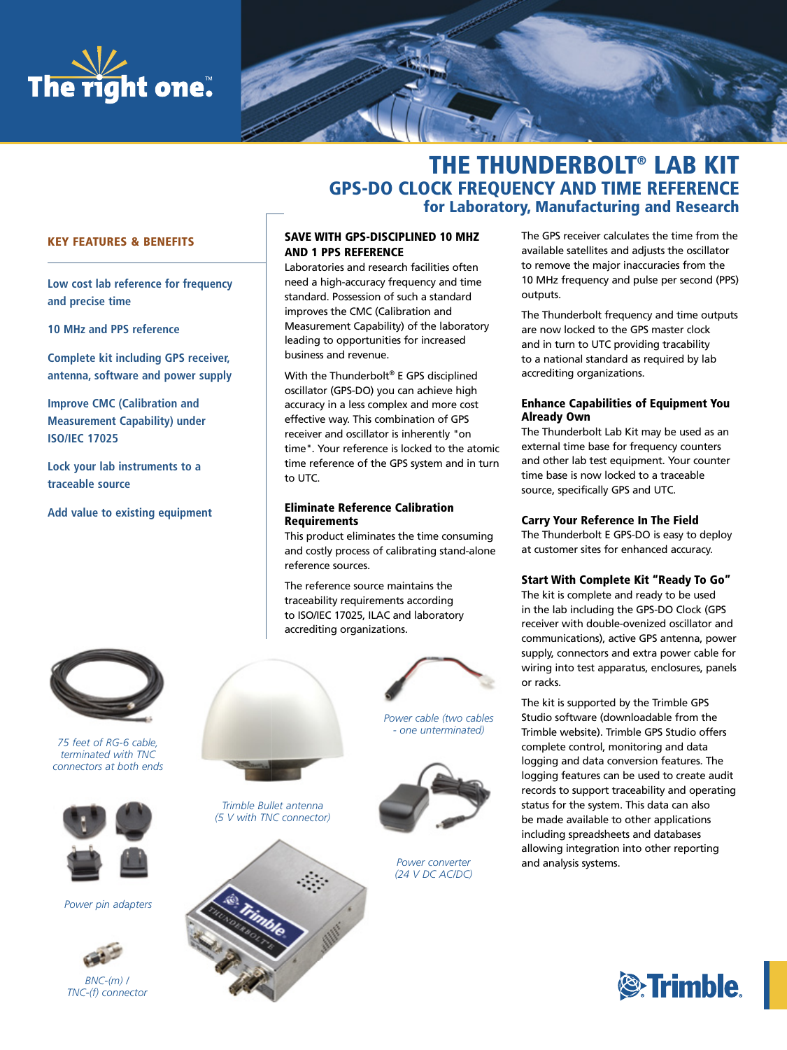



# THE THUNDERBOLT® LAB KIT GPS-DO CLOCK FREQUENCY AND TIME REFERENCE for Laboratory, Manufacturing and Research

# KEY FEATURES & BENEFITS

**Low cost lab reference for frequency and precise time**

**10 MHz and PPS reference**

**Complete kit including GPS receiver, antenna, software and power supply**

**Improve CMC (Calibration and Measurement Capability) under ISO/IEC 17025**

**Lock your lab instruments to a traceable source**

**Add value to existing equipment**



*75 feet of RG-6 cable, terminated with TNC connectors at both ends*



*Power pin adapters*



*BNC-(m) / TNC-(f) connector*

# SAVE WITH GPS-DISCIPLINED 10 MHZ AND 1 PPS REFERENCE

Laboratories and research facilities often need a high-accuracy frequency and time standard. Possession of such a standard improves the CMC (Calibration and Measurement Capability) of the laboratory leading to opportunities for increased business and revenue.

With the Thunderbolt® E GPS disciplined oscillator (GPS-DO) you can achieve high accuracy in a less complex and more cost effective way. This combination of GPS receiver and oscillator is inherently "on time". Your reference is locked to the atomic time reference of the GPS system and in turn to UTC.

#### Eliminate Reference Calibration **Requirements**

This product eliminates the time consuming and costly process of calibrating stand-alone reference sources.

The reference source maintains the traceability requirements according to ISO/IEC 17025, ILAC and laboratory accrediting organizations.

*Trimble Bullet antenna (5 V with TNC connector)*



*Power cable (two cables - one unterminated)*



*Power converter (24 V DC AC/DC)* The GPS receiver calculates the time from the available satellites and adjusts the oscillator to remove the major inaccuracies from the 10 MHz frequency and pulse per second (PPS) outputs.

The Thunderbolt frequency and time outputs are now locked to the GPS master clock and in turn to UTC providing tracability to a national standard as required by lab accrediting organizations.

#### Enhance Capabilities of Equipment You Already Own

The Thunderbolt Lab Kit may be used as an external time base for frequency counters and other lab test equipment. Your counter time base is now locked to a traceable source, specifically GPS and UTC.

#### Carry Your Reference In The Field

The Thunderbolt E GPS-DO is easy to deploy at customer sites for enhanced accuracy.

### Start With Complete Kit "Ready To Go"

The kit is complete and ready to be used in the lab including the GPS-DO Clock (GPS receiver with double-ovenized oscillator and communications), active GPS antenna, power supply, connectors and extra power cable for wiring into test apparatus, enclosures, panels or racks.

The kit is supported by the Trimble GPS Studio software (downloadable from the Trimble website). Trimble GPS Studio offers complete control, monitoring and data logging and data conversion features. The logging features can be used to create audit records to support traceability and operating status for the system. This data can also be made available to other applications including spreadsheets and databases allowing integration into other reporting and analysis systems.